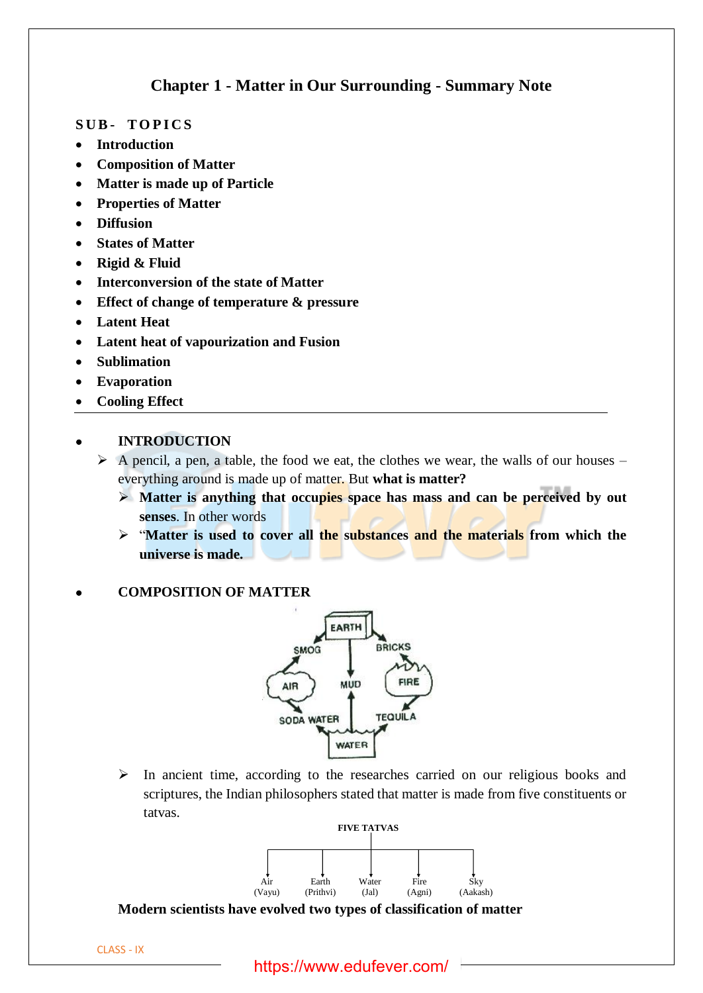# **Chapter 1 - Matter in Our Surrounding - Summary Note**

## **S U B - T O P I C S**

- **Introduction**
- **Composition of Matter**
- **Matter is made up of Particle**
- **Properties of Matter**
- **Diffusion**
- **States of Matter**
- **Rigid & Fluid**
- **Interconversion of the state of Matter**
- **Effect of change of temperature & pressure**
- **Latent Heat**
- **Latent heat of vapourization and Fusion**
- **Sublimation**
- **Evaporation**
- **Cooling Effect**

# • **INTRODUCTION**

- $\triangleright$  A pencil, a pen, a table, the food we eat, the clothes we wear, the walls of our houses everything around is made up of matter. But **what is matter?**
	- ➢ **Matter is anything that occupies space has mass and can be perceived by out senses**. In other words
	- ➢ "**Matter is used to cover all the substances and the materials from which the universe is made.**

## • **COMPOSITION OF MATTER**



➢ In ancient time, according to the researches carried on our religious books and scriptures, the Indian philosophers stated that matter is made from five constituents or tatvas.



**Modern scientists have evolved two types of classification of matter**

https://www.edufever.com/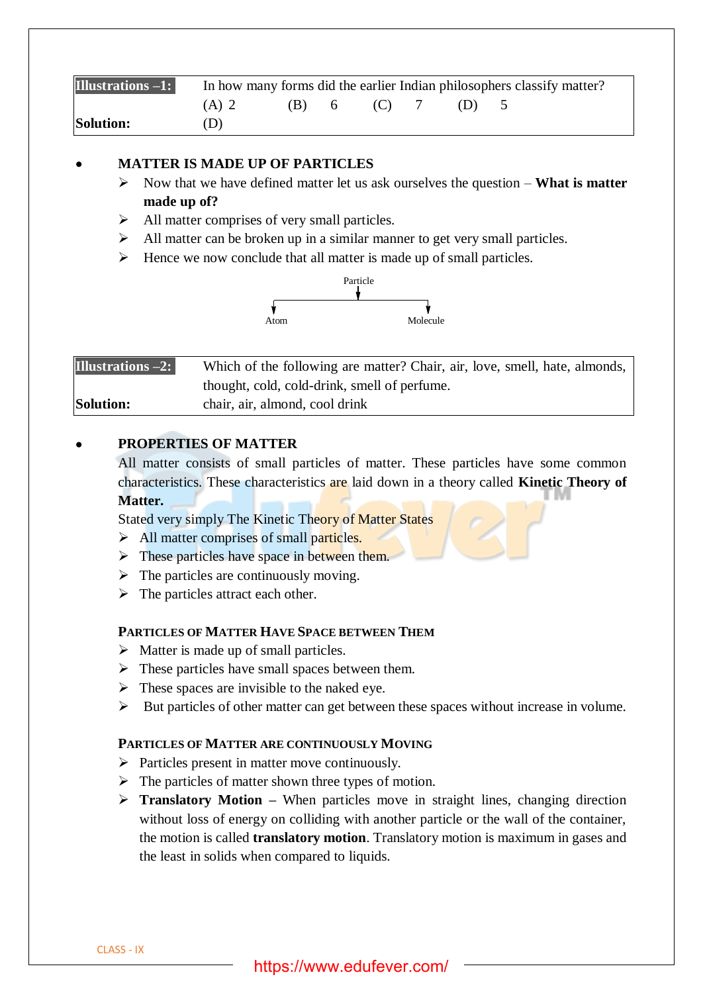| Illustrations -1: | In how many forms did the earlier Indian philosophers classify matter? |         |  |         |  |         |  |
|-------------------|------------------------------------------------------------------------|---------|--|---------|--|---------|--|
|                   | (A) 2                                                                  | $(B)$ 6 |  | $(C)$ 7 |  | $(1)$ 5 |  |
| <b>Solution:</b>  | D)                                                                     |         |  |         |  |         |  |

# • **MATTER IS MADE UP OF PARTICLES**

- ➢ Now that we have defined matter let us ask ourselves the question **What is matter made up of?**
- ➢ All matter comprises of very small particles.
- $\triangleright$  All matter can be broken up in a similar manner to get very small particles.
- $\triangleright$  Hence we now conclude that all matter is made up of small particles.



| Illustrations $-2$ : | Which of the following are matter? Chair, air, love, smell, hate, almonds, |
|----------------------|----------------------------------------------------------------------------|
|                      | thought, cold, cold-drink, smell of perfume.                               |
| <b>Solution:</b>     | chair, air, almond, cool drink                                             |

# • **PROPERTIES OF MATTER**

All matter consists of small particles of matter. These particles have some common characteristics. These characteristics are laid down in a theory called **Kinetic Theory of Matter.**

Stated very simply The Kinetic Theory of Matter States

- $\triangleright$  All matter comprises of small particles.
- $\triangleright$  These particles have space in between them.
- $\triangleright$  The particles are continuously moving.
- $\triangleright$  The particles attract each other.

#### **PARTICLES OF MATTER HAVE SPACE BETWEEN THEM**

- $\triangleright$  Matter is made up of small particles.
- $\triangleright$  These particles have small spaces between them.
- $\triangleright$  These spaces are invisible to the naked eye.
- ➢ But particles of other matter can get between these spaces without increase in volume.

#### **PARTICLES OF MATTER ARE CONTINUOUSLY MOVING**

- $\triangleright$  Particles present in matter move continuously.
- $\triangleright$  The particles of matter shown three types of motion.
- ➢ **Translatory Motion –** When particles move in straight lines, changing direction without loss of energy on colliding with another particle or the wall of the container, the motion is called **translatory motion**. Translatory motion is maximum in gases and the least in solids when compared to liquids.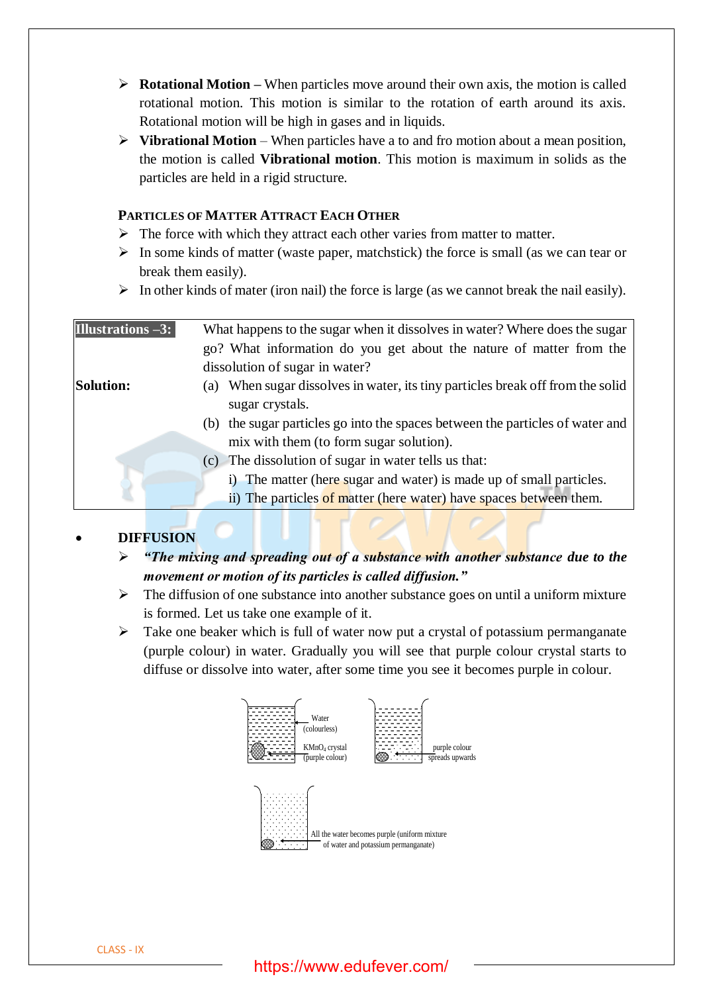- ➢ **Rotational Motion –** When particles move around their own axis, the motion is called rotational motion. This motion is similar to the rotation of earth around its axis. Rotational motion will be high in gases and in liquids.
- ➢ **Vibrational Motion** When particles have a to and fro motion about a mean position, the motion is called **Vibrational motion**. This motion is maximum in solids as the particles are held in a rigid structure.

# **PARTICLES OF MATTER ATTRACT EACH OTHER**

- $\triangleright$  The force with which they attract each other varies from matter to matter.
- $\triangleright$  In some kinds of matter (waste paper, matchstick) the force is small (as we can tear or break them easily).
- $\triangleright$  In other kinds of mater (iron nail) the force is large (as we cannot break the nail easily).

# • **DIFFUSION**

- ➢ *"The mixing and spreading out of a substance with another substance due to the movement or motion of its particles is called diffusion."*
- $\triangleright$  The diffusion of one substance into another substance goes on until a uniform mixture is formed. Let us take one example of it.
- $\triangleright$  Take one beaker which is full of water now put a crystal of potassium permanganate (purple colour) in water. Gradually you will see that purple colour crystal starts to diffuse or dissolve into water, after some time you see it becomes purple in colour.



# https://www.edufever.com/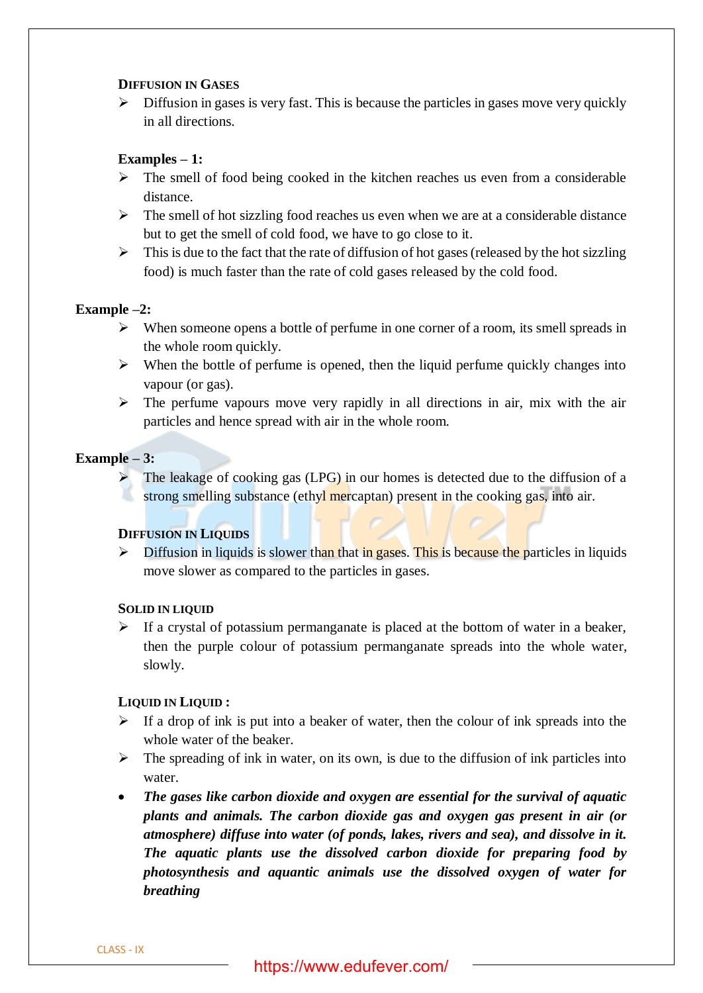## **DIFFUSION IN GASES**

 $\triangleright$  Diffusion in gases is very fast. This is because the particles in gases move very quickly in all directions.

# **Examples – 1:**

- $\triangleright$  The smell of food being cooked in the kitchen reaches us even from a considerable distance.
- $\triangleright$  The smell of hot sizzling food reaches us even when we are at a considerable distance but to get the smell of cold food, we have to go close to it.
- $\triangleright$  This is due to the fact that the rate of diffusion of hot gases (released by the hot sizzling food) is much faster than the rate of cold gases released by the cold food.

# **Example –2:**

- ➢ When someone opens a bottle of perfume in one corner of a room, its smell spreads in the whole room quickly.
- $\triangleright$  When the bottle of perfume is opened, then the liquid perfume quickly changes into vapour (or gas).
- $\triangleright$  The perfume vapours move very rapidly in all directions in air, mix with the air particles and hence spread with air in the whole room.

### **Example – 3:**

The leakage of cooking gas (LPG) in our homes is detected due to the diffusion of a strong smelling substance (ethyl mercaptan) present in the cooking gas, into air.

## **DIFFUSION IN LIQUIDS**

 $\triangleright$  Diffusion in liquids is slower than that in gases. This is because the particles in liquids move slower as compared to the particles in gases.

## **SOLID IN LIQUID**

 $\triangleright$  If a crystal of potassium permanganate is placed at the bottom of water in a beaker, then the purple colour of potassium permanganate spreads into the whole water, slowly.

## **LIQUID IN LIQUID :**

- $\triangleright$  If a drop of ink is put into a beaker of water, then the colour of ink spreads into the whole water of the beaker.
- $\triangleright$  The spreading of ink in water, on its own, is due to the diffusion of ink particles into water.
- *The gases like carbon dioxide and oxygen are essential for the survival of aquatic plants and animals. The carbon dioxide gas and oxygen gas present in air (or atmosphere) diffuse into water (of ponds, lakes, rivers and sea), and dissolve in it. The aquatic plants use the dissolved carbon dioxide for preparing food by photosynthesis and aquantic animals use the dissolved oxygen of water for breathing*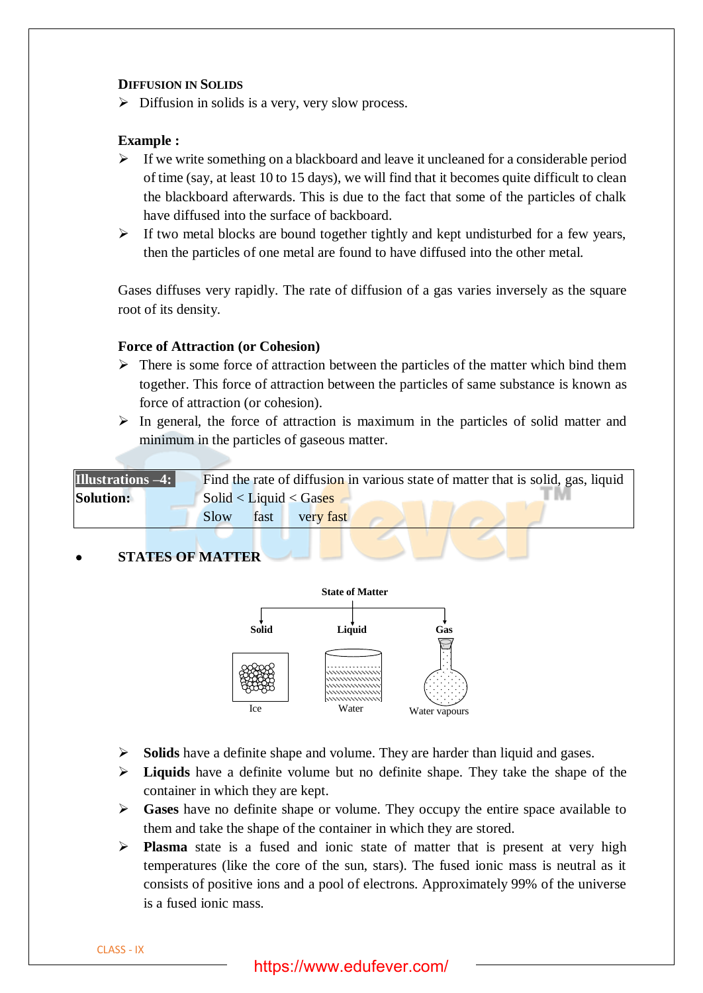## **DIFFUSION IN SOLIDS**

 $\triangleright$  Diffusion in solids is a very, very slow process.

## **Example :**

- $\triangleright$  If we write something on a blackboard and leave it uncleaned for a considerable period of time (say, at least 10 to 15 days), we will find that it becomes quite difficult to clean the blackboard afterwards. This is due to the fact that some of the particles of chalk have diffused into the surface of backboard.
- ➢ If two metal blocks are bound together tightly and kept undisturbed for a few years, then the particles of one metal are found to have diffused into the other metal.

Gases diffuses very rapidly. The rate of diffusion of a gas varies inversely as the square root of its density.

### **Force of Attraction (or Cohesion)**

- $\triangleright$  There is some force of attraction between the particles of the matter which bind them together. This force of attraction between the particles of same substance is known as force of attraction (or cohesion).
- $\triangleright$  In general, the force of attraction is maximum in the particles of solid matter and minimum in the particles of gaseous matter.

| <b>Illustrations –4: [</b> |      |      |                        |  | Find the rate of diffusion in various state of matter that is solid, gas, liquid |  |
|----------------------------|------|------|------------------------|--|----------------------------------------------------------------------------------|--|
| <b>Solution:</b>           |      |      | Solid < Liquid < Gases |  |                                                                                  |  |
|                            | Slow | fast | very fast              |  |                                                                                  |  |
|                            |      |      |                        |  |                                                                                  |  |

## • **STATES OF MATTER**



- ➢ **Solids** have a definite shape and volume. They are harder than liquid and gases.
- ➢ **Liquids** have a definite volume but no definite shape. They take the shape of the container in which they are kept.
- ➢ **Gases** have no definite shape or volume. They occupy the entire space available to them and take the shape of the container in which they are stored.
- ➢ **Plasma** state is a fused and ionic state of matter that is present at very high temperatures (like the core of the sun, stars). The fused ionic mass is neutral as it consists of positive ions and a pool of electrons. Approximately 99% of the universe is a fused ionic mass.

CLASS - IX

# https://www.edufever.com/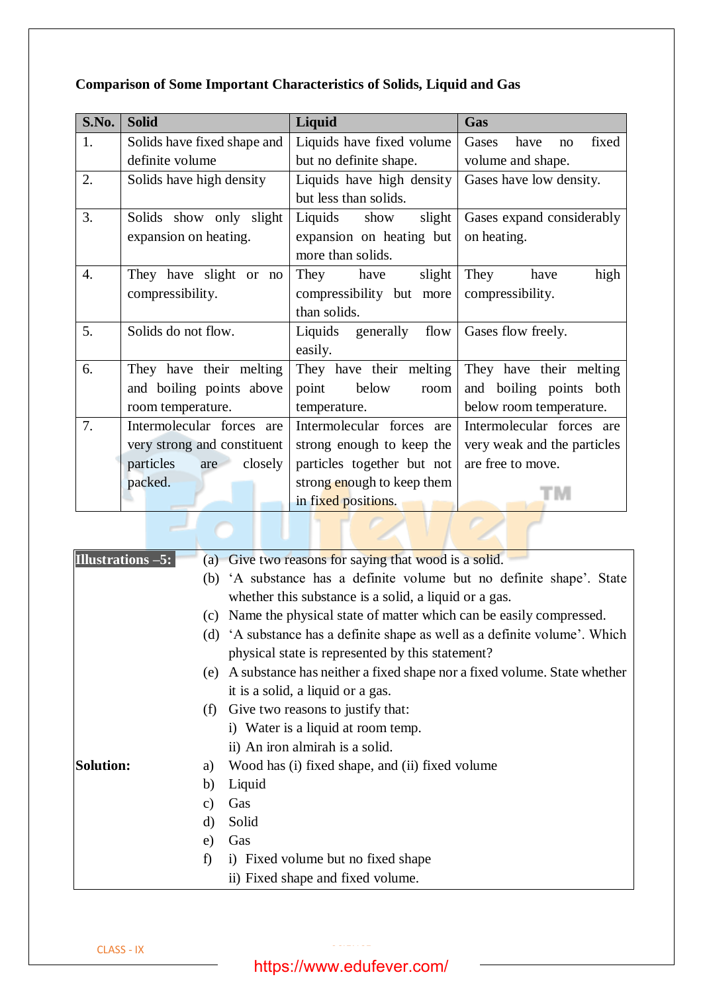| S.No. | <b>Solid</b>                | Liquid                     | Gas                          |  |
|-------|-----------------------------|----------------------------|------------------------------|--|
| 1.    | Solids have fixed shape and | Liquids have fixed volume  | Gases<br>have<br>fixed<br>no |  |
|       | definite volume             | but no definite shape.     | volume and shape.            |  |
| 2.    | Solids have high density    | Liquids have high density  | Gases have low density.      |  |
|       |                             | but less than solids.      |                              |  |
| 3.    | Solids show only slight     | Liquids<br>show<br>slight  | Gases expand considerably    |  |
|       | expansion on heating.       | expansion on heating but   | on heating.                  |  |
|       |                             | more than solids.          |                              |  |
| 4.    | They have slight or no      | They have<br>slight        | They<br>have<br>high         |  |
|       | compressibility.            | compressibility but more   | compressibility.             |  |
|       |                             | than solids.               |                              |  |
| 5.    | Solids do not flow.         | Liquids generally flow     | Gases flow freely.           |  |
|       |                             | easily.                    |                              |  |
| 6.    | They have their melting     | They have their melting    | They have their melting      |  |
|       | and boiling points above    | point<br>below<br>room     | and boiling points both      |  |
|       | room temperature.           | temperature.               | below room temperature.      |  |
| 7.    | Intermolecular forces are   | Intermolecular forces are  | Intermolecular forces are    |  |
|       | very strong and constituent | strong enough to keep the  | very weak and the particles  |  |
|       | particles<br>closely<br>are | particles together but not | are free to move.            |  |
|       | packed.                     | strong enough to keep them |                              |  |
|       |                             | in fixed positions.        |                              |  |
|       |                             |                            |                              |  |
|       |                             |                            |                              |  |

# **Comparison of Some Important Characteristics of Solids, Liquid and Gas**

| <b>Illustrations -5:</b> |         | (a) Give two reasons for saying that wood is a solid.                       |
|--------------------------|---------|-----------------------------------------------------------------------------|
|                          |         | (b) 'A substance has a definite volume but no definite shape'. State        |
|                          |         | whether this substance is a solid, a liquid or a gas.                       |
|                          | (c)     | Name the physical state of matter which can be easily compressed.           |
|                          |         | (d) 'A substance has a definite shape as well as a definite volume'. Which  |
|                          |         | physical state is represented by this statement?                            |
|                          |         | (e) A substance has neither a fixed shape nor a fixed volume. State whether |
|                          |         | it is a solid, a liquid or a gas.                                           |
|                          | (f)     | Give two reasons to justify that:                                           |
|                          |         | i) Water is a liquid at room temp.                                          |
|                          |         | ii) An iron almirah is a solid.                                             |
| <b>Solution:</b>         | a)      | Wood has (i) fixed shape, and (ii) fixed volume                             |
|                          | b)      | Liquid                                                                      |
|                          | C)      | Gas                                                                         |
|                          | $\rm d$ | Solid                                                                       |
|                          | e)      | Gas                                                                         |
|                          | f)      | i) Fixed volume but no fixed shape                                          |
|                          |         | ii) Fixed shape and fixed volume.                                           |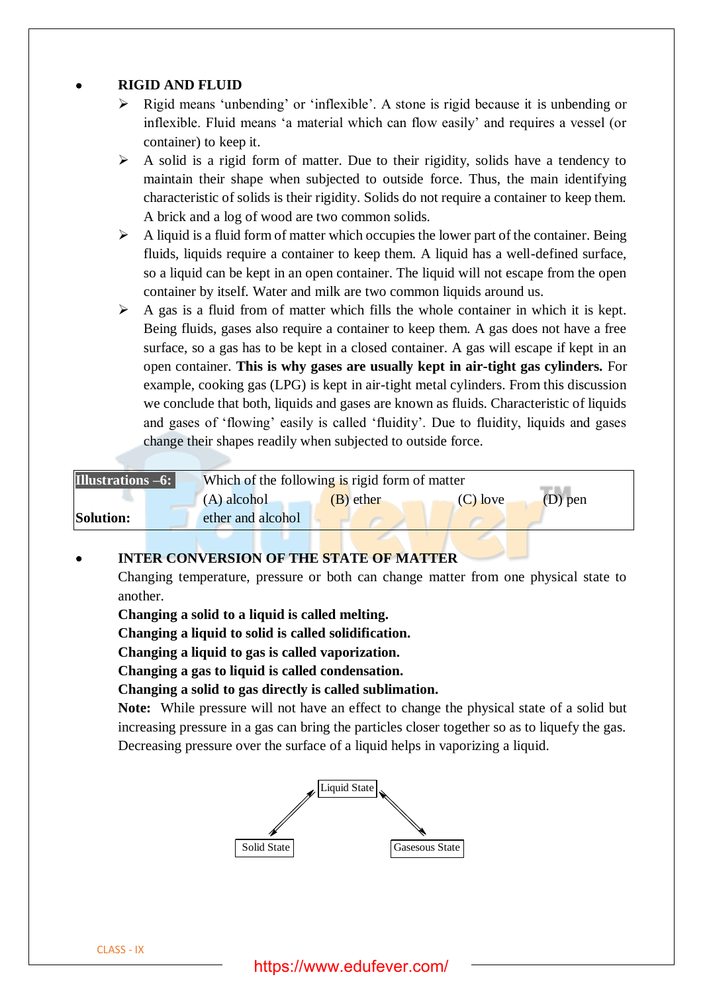# • **RIGID AND FLUID**

- ➢ Rigid means 'unbending' or 'inflexible'. A stone is rigid because it is unbending or inflexible. Fluid means 'a material which can flow easily' and requires a vessel (or container) to keep it.
- ➢ A solid is a rigid form of matter. Due to their rigidity, solids have a tendency to maintain their shape when subjected to outside force. Thus, the main identifying characteristic of solids is their rigidity. Solids do not require a container to keep them. A brick and a log of wood are two common solids.
- $\triangleright$  A liquid is a fluid form of matter which occupies the lower part of the container. Being fluids, liquids require a container to keep them. A liquid has a well-defined surface, so a liquid can be kept in an open container. The liquid will not escape from the open container by itself. Water and milk are two common liquids around us.
- $\triangleright$  A gas is a fluid from of matter which fills the whole container in which it is kept. Being fluids, gases also require a container to keep them. A gas does not have a free surface, so a gas has to be kept in a closed container. A gas will escape if kept in an open container. **This is why gases are usually kept in air-tight gas cylinders.** For example, cooking gas (LPG) is kept in air-tight metal cylinders. From this discussion we conclude that both, liquids and gases are known as fluids. Characteristic of liquids and gases of 'flowing' easily is called 'fluidity'. Due to fluidity, liquids and gases change their shapes readily when subjected to outside force.

**Illustrations –6:** Which of the following is rigid form of matter (A) alcohol (B) ether (C) love (D) pen **Solution:** ether and alcohol

## • **INTER CONVERSION OF THE STATE OF MATTER**

Changing temperature, pressure or both can change matter from one physical state to another.

**Changing a solid to a liquid is called melting.**

**Changing a liquid to solid is called solidification.**

**Changing a liquid to gas is called vaporization.**

**Changing a gas to liquid is called condensation.**

**Changing a solid to gas directly is called sublimation.**

**Note:** While pressure will not have an effect to change the physical state of a solid but increasing pressure in a gas can bring the particles closer together so as to liquefy the gas. Decreasing pressure over the surface of a liquid helps in vaporizing a liquid.

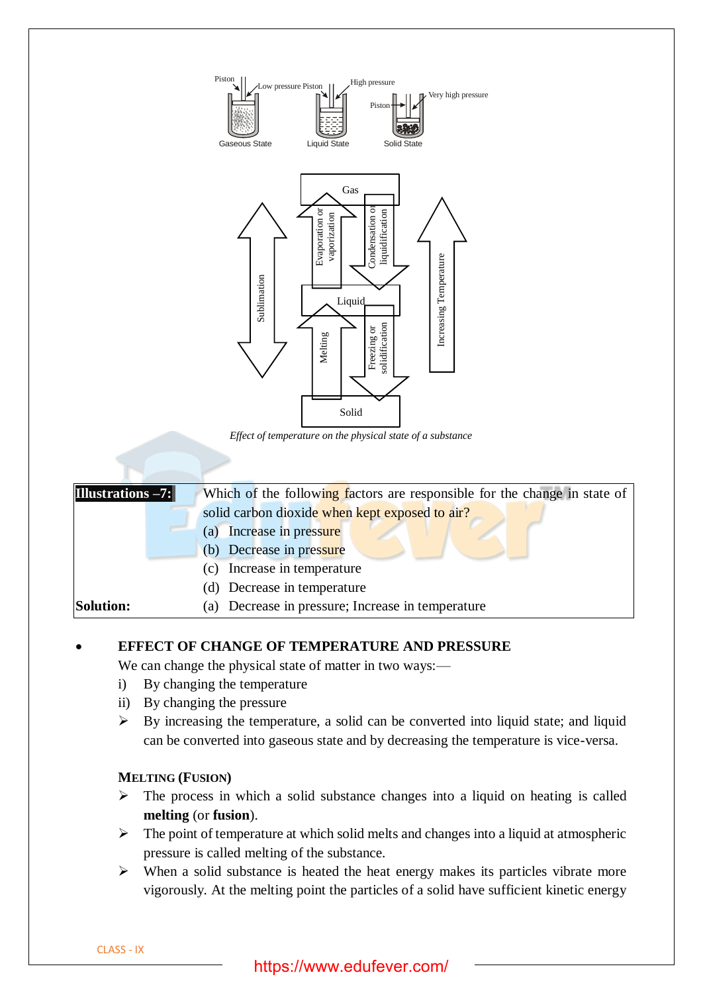

*Effect of temperature on the physical state of a substance*

| Illustrations -7: | Which of the following factors are responsible for the change in state of |
|-------------------|---------------------------------------------------------------------------|
|                   | solid carbon dioxide when kept exposed to air?                            |
|                   | Increase in pressure<br>(a)                                               |
|                   | (b) Decrease in pressure                                                  |
|                   | (c) Increase in temperature                                               |
|                   | (d) Decrease in temperature                                               |
| <b>Solution:</b>  | (a) Decrease in pressure; Increase in temperature                         |
|                   |                                                                           |

## • **EFFECT OF CHANGE OF TEMPERATURE AND PRESSURE**

We can change the physical state of matter in two ways:—

- i) By changing the temperature
- ii) By changing the pressure
- $\triangleright$  By increasing the temperature, a solid can be converted into liquid state; and liquid can be converted into gaseous state and by decreasing the temperature is vice-versa.

## **MELTING (FUSION)**

- ➢ The process in which a solid substance changes into a liquid on heating is called **melting** (or **fusion**).
- $\triangleright$  The point of temperature at which solid melts and changes into a liquid at atmospheric pressure is called melting of the substance.
- ➢ When a solid substance is heated the heat energy makes its particles vibrate more vigorously. At the melting point the particles of a solid have sufficient kinetic energy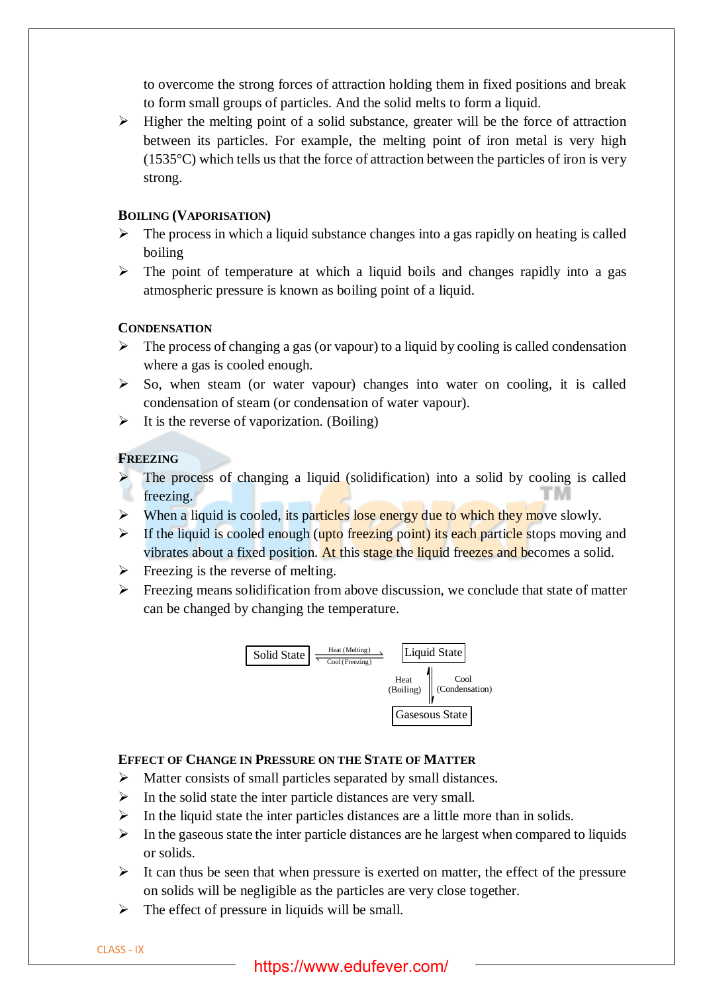to overcome the strong forces of attraction holding them in fixed positions and break to form small groups of particles. And the solid melts to form a liquid.

 $\triangleright$  Higher the melting point of a solid substance, greater will be the force of attraction between its particles. For example, the melting point of iron metal is very high  $(1535^{\circ}C)$  which tells us that the force of attraction between the particles of iron is very strong.

## **BOILING (VAPORISATION)**

- $\triangleright$  The process in which a liquid substance changes into a gas rapidly on heating is called boiling
- $\triangleright$  The point of temperature at which a liquid boils and changes rapidly into a gas atmospheric pressure is known as boiling point of a liquid.

# **CONDENSATION**

- $\triangleright$  The process of changing a gas (or vapour) to a liquid by cooling is called condensation where a gas is cooled enough.
- ➢ So, when steam (or water vapour) changes into water on cooling, it is called condensation of steam (or condensation of water vapour).
- $\triangleright$  It is the reverse of vaporization. (Boiling)

## **FREEZING**

- The process of changing a liquid (solidification) into a solid by cooling is called freezing.
- $\triangleright$  When a liquid is cooled, its particles lose energy due to which they move slowly.
- $\triangleright$  If the liquid is cooled enough (upto freezing point) its each particle stops moving and vibrates about a fixed position. At this stage the liquid freezes and becomes a solid.
- $\triangleright$  Freezing is the reverse of melting.
- $\triangleright$  Freezing means solidification from above discussion, we conclude that state of matter can be changed by changing the temperature.



# **EFFECT OF CHANGE IN PRESSURE ON THE STATE OF MATTER**

- ➢ Matter consists of small particles separated by small distances.
- $\triangleright$  In the solid state the inter particle distances are very small.
- $\triangleright$  In the liquid state the inter particles distances are a little more than in solids.
- $\triangleright$  In the gaseous state the inter particle distances are he largest when compared to liquids or solids.
- $\triangleright$  It can thus be seen that when pressure is exerted on matter, the effect of the pressure on solids will be negligible as the particles are very close together.
- $\triangleright$  The effect of pressure in liquids will be small.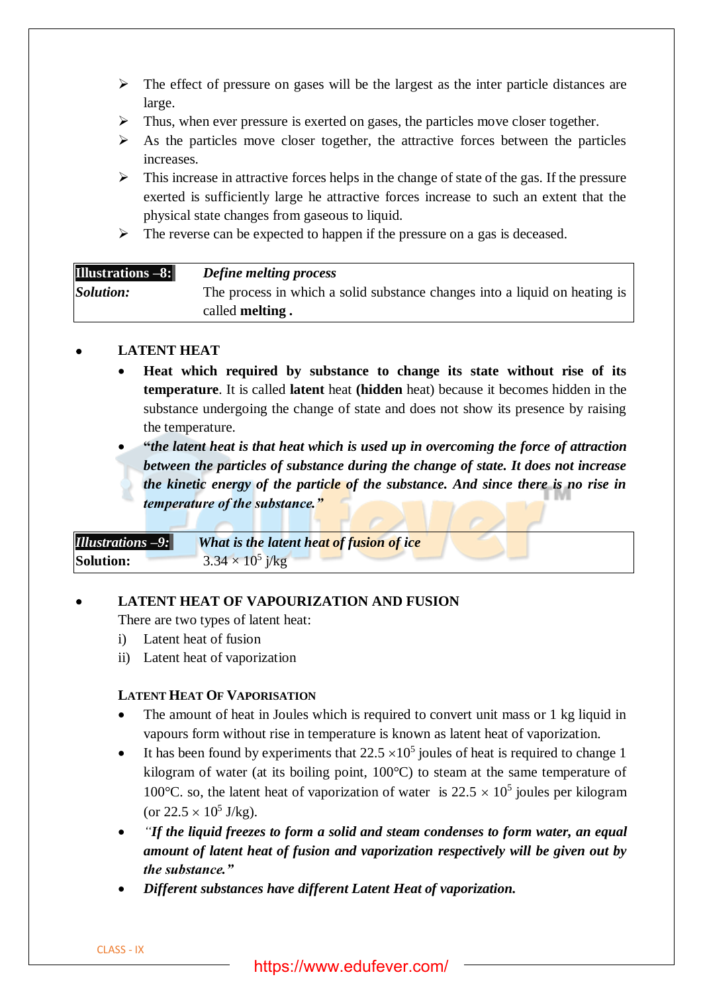- $\triangleright$  The effect of pressure on gases will be the largest as the inter particle distances are large.
- ➢ Thus, when ever pressure is exerted on gases, the particles move closer together.
- $\triangleright$  As the particles move closer together, the attractive forces between the particles increases.
- $\triangleright$  This increase in attractive forces helps in the change of state of the gas. If the pressure exerted is sufficiently large he attractive forces increase to such an extent that the physical state changes from gaseous to liquid.
- ➢ The reverse can be expected to happen if the pressure on a gas is deceased.

| <b>Illustrations -8:</b> | <b>Define melting process</b>                                              |
|--------------------------|----------------------------------------------------------------------------|
| Solution:                | The process in which a solid substance changes into a liquid on heating is |
|                          | called <b>melting</b> .                                                    |

# • **LATENT HEAT**

• **Heat which required by substance to change its state without rise of its temperature**. It is called **latent** heat **(hidden** heat) because it becomes hidden in the substance undergoing the change of state and does not show its presence by raising the temperature.

• **"***the latent heat is that heat which is used up in overcoming the force of attraction between the particles of substance during the change of state. It does not increase the kinetic energy of the particle of the substance. And since there is no rise in temperature of the substance."*

| <b>Illustrations -9:</b> | What is the latent heat of fusion of ice |
|--------------------------|------------------------------------------|
| <b>Solution:</b>         | $3.34 \times 10^5$ j/kg                  |

# • **LATENT HEAT OF VAPOURIZATION AND FUSION**

There are two types of latent heat:

- i) Latent heat of fusion
- ii) Latent heat of vaporization

# **LATENT HEAT OF VAPORISATION**

- The amount of heat in Joules which is required to convert unit mass or 1 kg liquid in vapours form without rise in temperature is known as latent heat of vaporization.
- It has been found by experiments that  $22.5 \times 10^5$  joules of heat is required to change 1 kilogram of water (at its boiling point, 100°C) to steam at the same temperature of 100°C. so, the latent heat of vaporization of water is  $22.5 \times 10^5$  joules per kilogram (or  $22.5 \times 10^5$  J/kg).
- *"If the liquid freezes to form a solid and steam condenses to form water, an equal amount of latent heat of fusion and vaporization respectively will be given out by the substance."*
- *Different substances have different Latent Heat of vaporization.*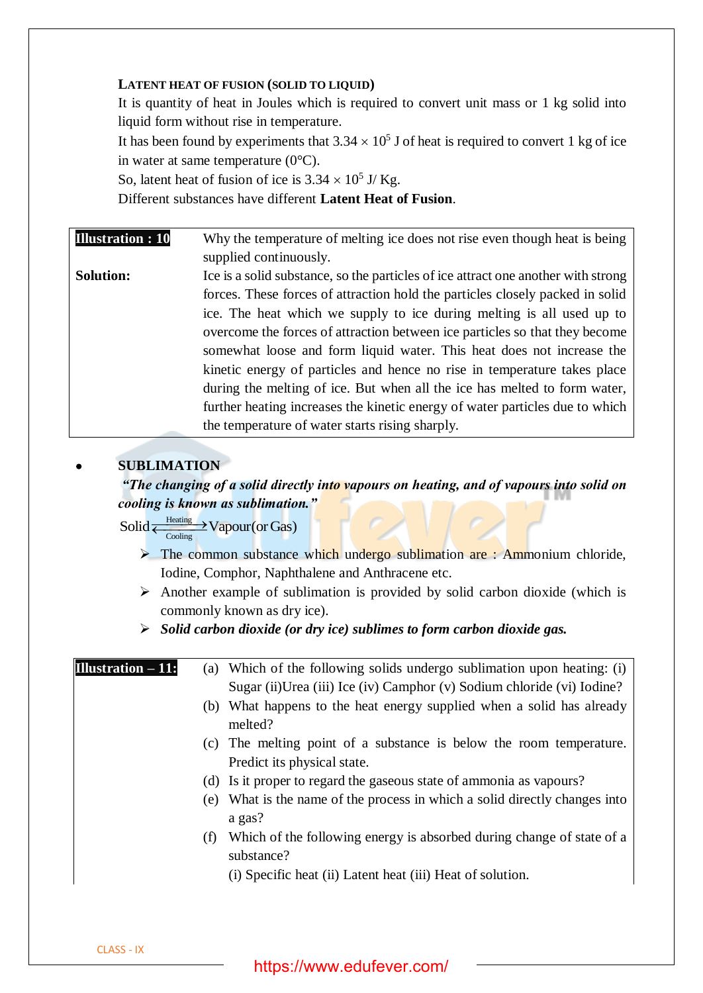## **LATENT HEAT OF FUSION (SOLID TO LIQUID)**

It is quantity of heat in Joules which is required to convert unit mass or 1 kg solid into liquid form without rise in temperature.

It has been found by experiments that  $3.34 \times 10^5$  J of heat is required to convert 1 kg of ice in water at same temperature (0°C).

So, latent heat of fusion of ice is  $3.34 \times 10^5$  J/Kg.

Different substances have different **Latent Heat of Fusion**.

**Illustration : 10** Why the temperature of melting ice does not rise even though heat is being supplied continuously. **Solution:** Ice is a solid substance, so the particles of ice attract one another with strong forces. These forces of attraction hold the particles closely packed in solid ice. The heat which we supply to ice during melting is all used up to overcome the forces of attraction between ice particles so that they become somewhat loose and form liquid water. This heat does not increase the kinetic energy of particles and hence no rise in temperature takes place during the melting of ice. But when all the ice has melted to form water, further heating increases the kinetic energy of water particles due to which the temperature of water starts rising sharply.

# • **SUBLIMATION**

*"The changing of a solid directly into vapours on heating, and of vapours into solid on cooling is known as sublimation."*

- **Heating** Solid  $\frac{\text{Heating}}{\text{Cooling}}$  Vapour(or Gas)
	- $\triangleright$  The common substance which undergo sublimation are : Ammonium chloride, Iodine, Comphor, Naphthalene and Anthracene etc.
	- $\triangleright$  Another example of sublimation is provided by solid carbon dioxide (which is commonly known as dry ice).

➢ *Solid carbon dioxide (or dry ice) sublimes to form carbon dioxide gas.*

**Illustration – 11:** (a) Which of the following solids undergo sublimation upon heating: (i) Sugar (ii)Urea (iii) Ice (iv) Camphor (v) Sodium chloride (vi) Iodine?

- (b) What happens to the heat energy supplied when a solid has already melted?
- (c) The melting point of a substance is below the room temperature. Predict its physical state.
- (d) Is it proper to regard the gaseous state of ammonia as vapours?
- (e) What is the name of the process in which a solid directly changes into a gas?
- (f) Which of the following energy is absorbed during change of state of a substance?
	- (i) Specific heat (ii) Latent heat (iii) Heat of solution.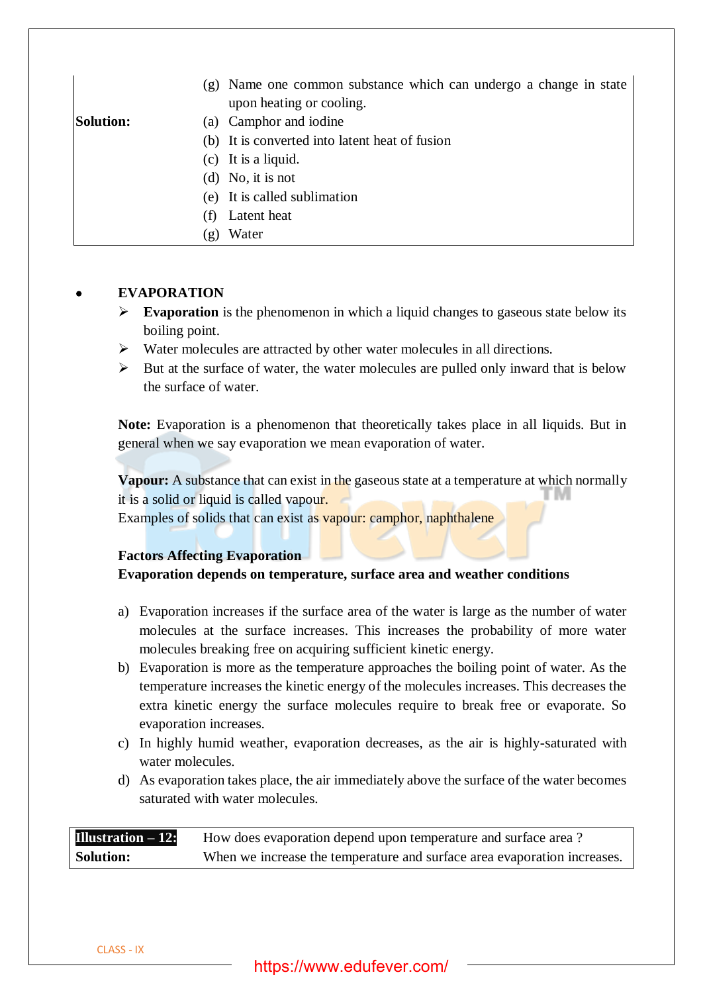|                  | (g) Name one common substance which can undergo a change in state<br>upon heating or cooling. |
|------------------|-----------------------------------------------------------------------------------------------|
| <b>Solution:</b> | (a) Camphor and iodine                                                                        |
|                  | (b) It is converted into latent heat of fusion                                                |
|                  | $(c)$ It is a liquid.                                                                         |
|                  | (d) No, it is not                                                                             |
|                  | (e) It is called sublimation                                                                  |
|                  | Latent heat                                                                                   |

(g) Water

# • **EVAPORATION**

- ➢ **Evaporation** is the phenomenon in which a liquid changes to gaseous state below its boiling point.
- ➢ Water molecules are attracted by other water molecules in all directions.
- $\triangleright$  But at the surface of water, the water molecules are pulled only inward that is below the surface of water.

**Note:** Evaporation is a phenomenon that theoretically takes place in all liquids. But in general when we say evaporation we mean evaporation of water.

**Vapour:** A substance that can exist in the gaseous state at a temperature at which normally it is a solid or liquid is called vapour.

Examples of solids that can exist as vapour: camphor, naphthalene

## **Factors Affecting Evaporation**

## **Evaporation depends on temperature, surface area and weather conditions**

- a) Evaporation increases if the surface area of the water is large as the number of water molecules at the surface increases. This increases the probability of more water molecules breaking free on acquiring sufficient kinetic energy.
- b) Evaporation is more as the temperature approaches the boiling point of water. As the temperature increases the kinetic energy of the molecules increases. This decreases the extra kinetic energy the surface molecules require to break free or evaporate. So evaporation increases.
- c) In highly humid weather, evaporation decreases, as the air is highly-saturated with water molecules.
- d) As evaporation takes place, the air immediately above the surface of the water becomes saturated with water molecules.

| <b>Illustration</b> $-12$ : | How does evaporation depend upon temperature and surface area?           |
|-----------------------------|--------------------------------------------------------------------------|
| <b>Solution:</b>            | When we increase the temperature and surface area evaporation increases. |